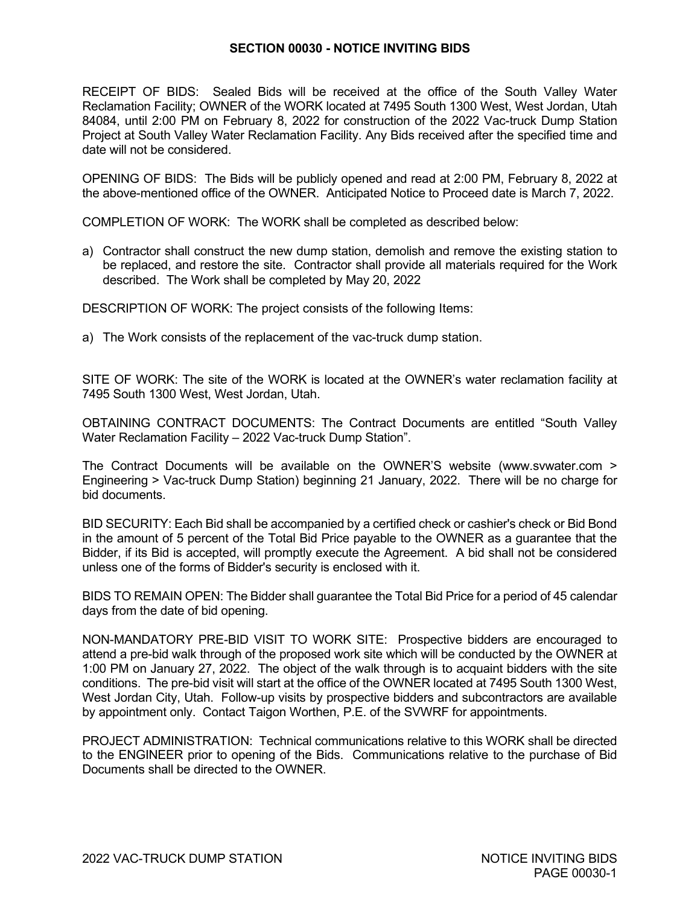## **SECTION 00030 - NOTICE INVITING BIDS**

RECEIPT OF BIDS: Sealed Bids will be received at the office of the South Valley Water Reclamation Facility; OWNER of the WORK located at 7495 South 1300 West, West Jordan, Utah 84084, until 2:00 PM on February 8, 2022 for construction of the 2022 Vac-truck Dump Station Project at South Valley Water Reclamation Facility. Any Bids received after the specified time and date will not be considered.

OPENING OF BIDS: The Bids will be publicly opened and read at 2:00 PM, February 8, 2022 at the above-mentioned office of the OWNER. Anticipated Notice to Proceed date is March 7, 2022.

COMPLETION OF WORK: The WORK shall be completed as described below:

a) Contractor shall construct the new dump station, demolish and remove the existing station to be replaced, and restore the site. Contractor shall provide all materials required for the Work described. The Work shall be completed by May 20, 2022

DESCRIPTION OF WORK: The project consists of the following Items:

a) The Work consists of the replacement of the vac-truck dump station.

SITE OF WORK: The site of the WORK is located at the OWNER's water reclamation facility at 7495 South 1300 West, West Jordan, Utah.

OBTAINING CONTRACT DOCUMENTS: The Contract Documents are entitled "South Valley Water Reclamation Facility – 2022 Vac-truck Dump Station".

The Contract Documents will be available on the OWNER'S website (www.svwater.com > Engineering > Vac-truck Dump Station) beginning 21 January, 2022. There will be no charge for bid documents.

BID SECURITY: Each Bid shall be accompanied by a certified check or cashier's check or Bid Bond in the amount of 5 percent of the Total Bid Price payable to the OWNER as a guarantee that the Bidder, if its Bid is accepted, will promptly execute the Agreement. A bid shall not be considered unless one of the forms of Bidder's security is enclosed with it.

BIDS TO REMAIN OPEN: The Bidder shall guarantee the Total Bid Price for a period of 45 calendar days from the date of bid opening.

NON-MANDATORY PRE-BID VISIT TO WORK SITE: Prospective bidders are encouraged to attend a pre-bid walk through of the proposed work site which will be conducted by the OWNER at 1:00 PM on January 27, 2022. The object of the walk through is to acquaint bidders with the site conditions. The pre-bid visit will start at the office of the OWNER located at 7495 South 1300 West, West Jordan City, Utah. Follow-up visits by prospective bidders and subcontractors are available by appointment only. Contact Taigon Worthen, P.E. of the SVWRF for appointments.

PROJECT ADMINISTRATION: Technical communications relative to this WORK shall be directed to the ENGINEER prior to opening of the Bids. Communications relative to the purchase of Bid Documents shall be directed to the OWNER.